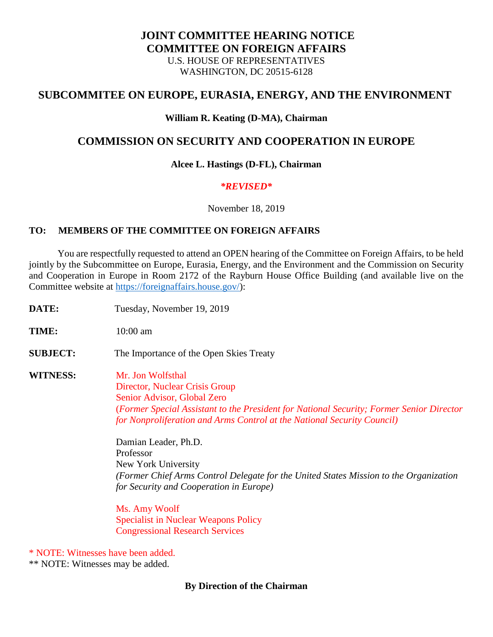# **JOINT COMMITTEE HEARING NOTICE COMMITTEE ON FOREIGN AFFAIRS** U.S. HOUSE OF REPRESENTATIVES WASHINGTON, DC 20515-6128

# **SUBCOMMITEE ON EUROPE, EURASIA, ENERGY, AND THE ENVIRONMENT**

### **William R. Keating (D-MA), Chairman**

# **COMMISSION ON SECURITY AND COOPERATION IN EUROPE**

#### **Alcee L. Hastings (D-FL), Chairman**

### *\*REVISED\**

November 18, 2019

## **TO: MEMBERS OF THE COMMITTEE ON FOREIGN AFFAIRS**

 You are respectfully requested to attend an OPEN hearing of the Committee on Foreign Affairs, to be held jointly by the Subcommittee on Europe, Eurasia, Energy, and the Environment and the Commission on Security and Cooperation in Europe in Room 2172 of the Rayburn House Office Building (and available live on the Committee website at [https://foreignaffairs.house.gov/\)](https://foreignaffairs.house.gov/):

| DATE:           | Tuesday, November 19, 2019                                                                                                                                                                                                                                                                                                                                                                                                                                                                                                                                          |
|-----------------|---------------------------------------------------------------------------------------------------------------------------------------------------------------------------------------------------------------------------------------------------------------------------------------------------------------------------------------------------------------------------------------------------------------------------------------------------------------------------------------------------------------------------------------------------------------------|
| TIME:           | $10:00$ am                                                                                                                                                                                                                                                                                                                                                                                                                                                                                                                                                          |
| <b>SUBJECT:</b> | The Importance of the Open Skies Treaty                                                                                                                                                                                                                                                                                                                                                                                                                                                                                                                             |
| <b>WITNESS:</b> | Mr. Jon Wolfsthal<br>Director, Nuclear Crisis Group<br>Senior Advisor, Global Zero<br>(Former Special Assistant to the President for National Security; Former Senior Director<br>for Nonproliferation and Arms Control at the National Security Council)<br>Damian Leader, Ph.D.<br>Professor<br>New York University<br>(Former Chief Arms Control Delegate for the United States Mission to the Organization<br>for Security and Cooperation in Europe)<br>Ms. Amy Woolf<br><b>Specialist in Nuclear Weapons Policy</b><br><b>Congressional Research Services</b> |

\* NOTE: Witnesses have been added.

\*\* NOTE: Witnesses may be added.

## **By Direction of the Chairman**